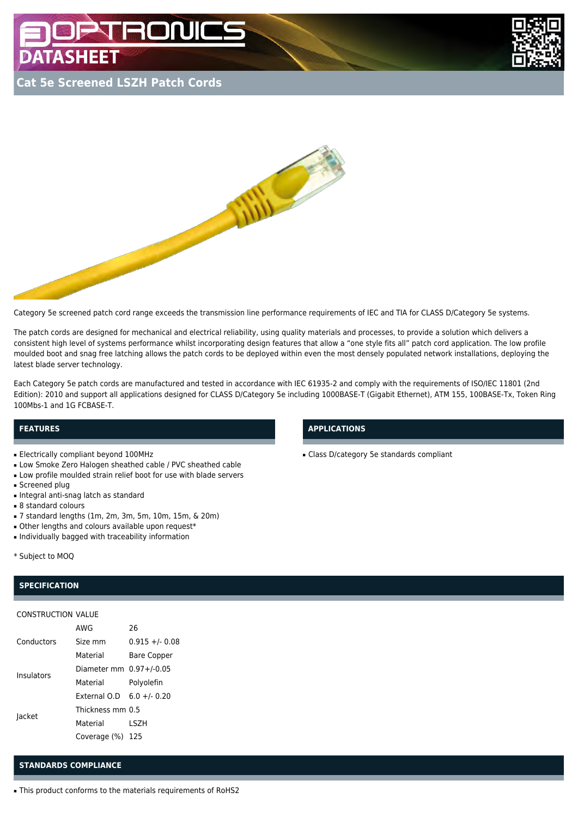# 200 **ASHEE**

# **Cat 5e Screened LSZH Patch Cords**





Category 5e screened patch cord range exceeds the transmission line performance requirements of IEC and TIA for CLASS D/Category 5e systems.

The patch cords are designed for mechanical and electrical reliability, using quality materials and processes, to provide a solution which delivers a consistent high level of systems performance whilst incorporating design features that allow a "one style fits all" patch cord application. The low profile moulded boot and snag free latching allows the patch cords to be deployed within even the most densely populated network installations, deploying the latest blade server technology.

Each Category 5e patch cords are manufactured and tested in accordance with IEC 61935-2 and comply with the requirements of ISO/IEC 11801 (2nd Edition): 2010 and support all applications designed for CLASS D/Category 5e including 1000BASE-T (Gigabit Ethernet), ATM 155, 100BASE-Tx, Token Ring 100Mbs-1 and 1G FCBASE-T.

## **FEATURES**

- Electrically compliant beyond 100MHz
- Low Smoke Zero Halogen sheathed cable / PVC sheathed cable
- Low profile moulded strain relief boot for use with blade servers
- Screened plug
- Integral anti-snag latch as standard
- 8 standard colours
- 7 standard lengths (1m, 2m, 3m, 5m, 10m, 15m, & 20m)
- Other lengths and colours available upon request\*
- Individually bagged with traceability information
- \* Subject to MOQ

## **SPECIFICATION**

#### CONSTRUCTION VALUE

|            | AWG                         | 26             |
|------------|-----------------------------|----------------|
| Conductors | Size mm                     | $0.915 + 0.08$ |
|            | Material                    | Bare Copper    |
| Insulators | Diameter mm $0.97 + 0.05$   |                |
|            | Material                    | Polyolefin     |
| lacket     | External O.D $6.0 +/- 0.20$ |                |
|            | Thickness mm 0.5            |                |
|            | Material                    | LSZH           |
|            | Coverage (%) 125            |                |

# **STANDARDS COMPLIANCE**

- This product conforms to the materials requirements of RoHS2

## **APPLICATIONS**

■ Class D/category 5e standards compliant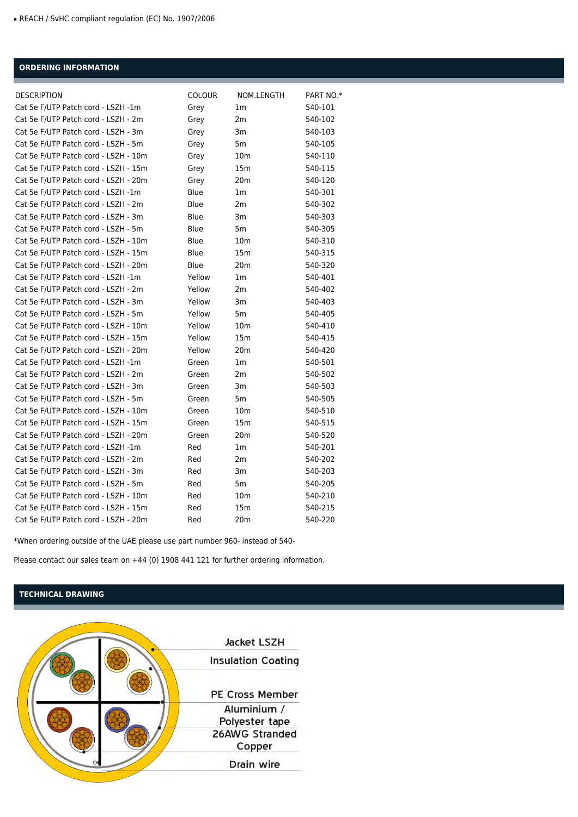# **ORDERING INFORMATION**

| <b>DESCRIPTION</b>                   | COLOUR | NOM.LENGTH      | PART NO.* |
|--------------------------------------|--------|-----------------|-----------|
| Cat 5e F/UTP Patch cord - LSZH -1m   | Grey   | 1 <sub>m</sub>  | 540-101   |
| Cat 5e F/UTP Patch cord - LSZH - 2m  | Grey   | 2m              | 540-102   |
| Cat 5e F/UTP Patch cord - LSZH - 3m  | Grey   | Зm              | 540-103   |
| Cat 5e F/UTP Patch cord - LSZH - 5m  | Grey   | 5m              | 540-105   |
| Cat 5e F/UTP Patch cord - LSZH - 10m | Grey   | 10 <sub>m</sub> | 540-110   |
| Cat 5e F/UTP Patch cord - LSZH - 15m | Grey   | 15 <sub>m</sub> | 540-115   |
| Cat 5e F/UTP Patch cord - LSZH - 20m | Grey   | 20m             | 540-120   |
| Cat 5e F/UTP Patch cord - LSZH -1m   | Blue   | 1 <sub>m</sub>  | 540-301   |
| Cat 5e F/UTP Patch cord - LSZH - 2m  | Blue   | 2m              | 540-302   |
| Cat 5e F/UTP Patch cord - LSZH - 3m  | Blue   | 3m              | 540-303   |
| Cat 5e F/UTP Patch cord - LSZH - 5m  | Blue   | 5m              | 540-305   |
| Cat 5e F/UTP Patch cord - LSZH - 10m | Blue   | 10 <sub>m</sub> | 540-310   |
| Cat 5e F/UTP Patch cord - LSZH - 15m | Blue   | 15 <sub>m</sub> | 540-315   |
| Cat 5e F/UTP Patch cord - LSZH - 20m | Blue   | 20 <sub>m</sub> | 540-320   |
| Cat 5e F/UTP Patch cord - LSZH -1m   | Yellow | 1 <sub>m</sub>  | 540-401   |
| Cat 5e F/UTP Patch cord - LSZH - 2m  | Yellow | 2m              | 540-402   |
| Cat 5e F/UTP Patch cord - LSZH - 3m  | Yellow | 3m              | 540-403   |
| Cat 5e F/UTP Patch cord - LSZH - 5m  | Yellow | 5m              | 540-405   |
| Cat 5e F/UTP Patch cord - LSZH - 10m | Yellow | 10 <sub>m</sub> | 540-410   |
| Cat 5e F/UTP Patch cord - LSZH - 15m | Yellow | 15 <sub>m</sub> | 540-415   |
| Cat 5e F/UTP Patch cord - LSZH - 20m | Yellow | 20 <sub>m</sub> | 540-420   |
| Cat 5e F/UTP Patch cord - LSZH -1m   | Green  | 1 <sub>m</sub>  | 540-501   |
| Cat 5e F/UTP Patch cord - LSZH - 2m  | Green  | 2m              | 540-502   |
| Cat 5e F/UTP Patch cord - LSZH - 3m  | Green  | 3m              | 540-503   |
| Cat 5e F/UTP Patch cord - LSZH - 5m  | Green  | 5m              | 540-505   |
| Cat 5e F/UTP Patch cord - LSZH - 10m | Green  | 10 <sub>m</sub> | 540-510   |
| Cat 5e F/UTP Patch cord - LSZH - 15m | Green  | 15 <sub>m</sub> | 540-515   |
| Cat 5e F/UTP Patch cord - LSZH - 20m | Green  | 20 <sub>m</sub> | 540-520   |
| Cat 5e F/UTP Patch cord - LSZH -1m   | Red    | 1 <sub>m</sub>  | 540-201   |
| Cat 5e F/UTP Patch cord - LSZH - 2m  | Red    | 2m              | 540-202   |
| Cat 5e F/UTP Patch cord - LSZH - 3m  | Red    | 3m              | 540-203   |
| Cat 5e F/UTP Patch cord - LSZH - 5m  | Red    | 5m              | 540-205   |
| Cat 5e F/UTP Patch cord - LSZH - 10m | Red    | 10 <sub>m</sub> | 540-210   |
| Cat 5e F/UTP Patch cord - LSZH - 15m | Red    | 15 <sub>m</sub> | 540-215   |
| Cat 5e F/UTP Patch cord - LSZH - 20m | Red    | 20 <sub>m</sub> | 540-220   |
|                                      |        |                 |           |

\*When ordering outside of the UAE please use part number 960- instead of 540-

Please contact our sales team on +44 (0) 1908 441 121 for further ordering information.

# **TECHNICAL DRAWING**